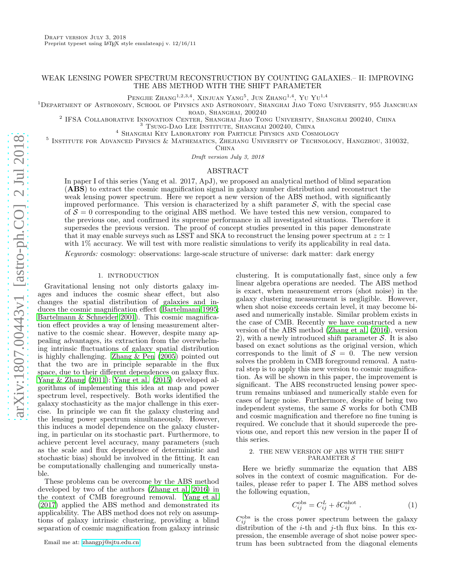# WEAK LENSING POWER SPECTRUM RECONSTRUCTION BY COUNTING GALAXIES.– II: IMPROVING THE ABS METHOD WITH THE SHIFT PARAMETER

Pengjie Zhang $^{1,2,3,4}$ , Xinjuan Yang $^5$ , Jun Zhang $^{1,4}$ , Yu Yu $^{1,4}$ 

<sup>1</sup>DEPARTMENT OF ASTRONOMY, SCHOOL OF PHYSICS AND ASTRONOMY, SHANGHAI JIAO TONG UNIVERSITY, 955 JIANCHUAN

road, Shanghai, 200240

2 IFSA Collaborative Innovation Center, Shanghai Jiao Tong University, Shanghai 200240, China <sup>3</sup> TSUNG-DAO LEE INSTITUTE, SHANGHAI 200240, CHINA

<sup>4</sup> Shanghai Key Laboratory for Particle Physics and Cosmology

<sup>5</sup> INSTITUTE FOR ADVANCED PHYSICS & MATHEMATICS, ZHEJIANG UNIVERSITY OF TECHNOLOGY, HANGZHOU, 310032,

China

Draft version July 3, 2018

### ABSTRACT

In paper I of this series (Yang et al. 2017, ApJ), we proposed an analytical method of blind separation (ABS) to extract the cosmic magnification signal in galaxy number distribution and reconstruct the weak lensing power spectrum. Here we report a new version of the ABS method, with significantly improved performance. This version is characterized by a shift parameter  $S$ , with the special case of  $S = 0$  corresponding to the original ABS method. We have tested this new version, compared to the previous one, and confirmed its supreme performance in all investigated situations. Therefore it supersedes the previous version. The proof of concept studies presented in this paper demonstrate that it may enable surveys such as LSST and SKA to reconstruct the lensing power spectrum at  $z \approx 1$ with  $1\%$  accuracy. We will test with more realistic simulations to verify its applicability in real data.

Keywords: cosmology: observations: large-scale structure of universe: dark matter: dark energy

### 1. INTRODUCTION

Gravitational lensing not only distorts galaxy images and induces the cosmic shear effect, but also changes the spatial distribution of galaxies and induces the cosmic magnification effect [\(Bartelmann 1995;](#page-3-0) [Bartelmann & Schneider 2001](#page-3-1)). This cosmic magnification effect provides a way of lensing measurement alternative to the cosmic shear. However, despite many appealing advantages, its extraction from the overwhelming intrinsic fluctuations of galaxy spatial distribution is highly challenging. [Zhang & Pen \(2005](#page-3-2)) pointed out that the two are in principle separable in the flux space, due to their different dependences on galaxy flux. [Yang & Zhang \(2011\)](#page-3-3); [Yang et al. \(2015\)](#page-3-4) developed algorithms of implementing this idea at map and power spectrum level, respectively. Both works identified the galaxy stochasticity as the major challenge in this exercise. In principle we can fit the galaxy clustering and the lensing power spectrum simultaneously. However, this induces a model dependence on the galaxy clustering, in particular on its stochastic part. Furthermore, to achieve percent level accuracy, many parameters (such as the scale and flux dependence of deterministic and stochastic bias) should be involved in the fitting. It can be computationally challenging and numerically unstable.

These problems can be overcome by the ABS method developed by two of the authors [\(Zhang et al. 2016\)](#page-3-5) in the context of CMB foreground removal. [Yang et al.](#page-3-6) [\(2017\)](#page-3-6) applied the ABS method and demonstrated its applicability. The ABS method does not rely on assumptions of galaxy intrinsic clustering, providing a blind separation of cosmic magnification from galaxy intrinsic

clustering. It is computationally fast, since only a few linear algebra operations are needed. The ABS method is exact, when measurement errors (shot noise) in the galaxy clustering measurement is negligible. However, when shot noise exceeds certain level, it may become biased and numerically instable. Similar problem exists in the case of CMB. Recently we have constructed a new version of the ABS method [\(Zhang et al. \(2016\)](#page-3-5), version 2), with a newly introduced shift parameter  $S$ . It is also based on exact solutions as the original version, which corresponds to the limit of  $S = 0$ . The new version solves the problem in CMB foreground removal. A natural step is to apply this new version to cosmic magnification. As will be shown in this paper, the improvement is significant. The ABS reconstructed lensing power spectrum remains unbiased and numerically stable even for cases of large noise. Furthermore, despite of being two independent systems, the same  $S$  works for both CMB and cosmic magnification and therefore no fine tuning is required. We conclude that it should supercede the previous one, and report this new version in the paper II of this series.

### 2. THE NEW VERSION OF ABS WITH THE SHIFT PARAMETER  $\mathcal S$

Here we briefly summarize the equation that ABS solves in the context of cosmic magnification. For detailes, please refer to paper I. The ABS method solves the following equation,

<span id="page-0-0"></span>
$$
C_{ij}^{\text{obs}} = C_{ij}^L + \delta C_{ij}^{\text{shot}} . \tag{1}
$$

 $C_{ij}^{\text{obs}}$  is the cross power spectrum between the galaxy distribution of the *i*-th and *j*-th flux bins. In this expression, the ensemble average of shot noise power spectrum has been subtracted from the diagonal elements

Email me at: [zhangpj@sjtu.edu.cn](mailto:zhangpj@sjtu.edu.cn)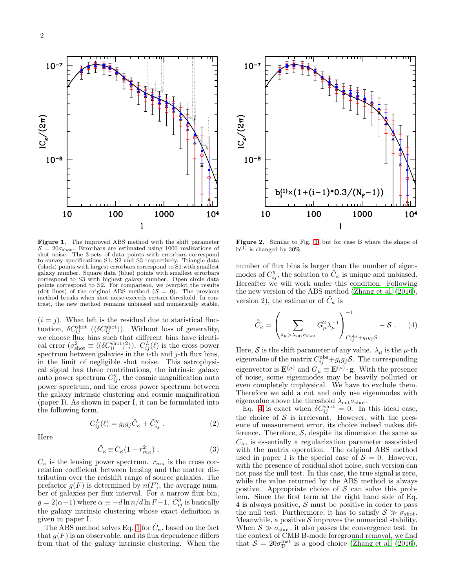

<span id="page-1-0"></span>Figure 1. The improved ABS method with the shift parameter  $S = 20\sigma<sub>shot</sub>$ . Errorbars are estimated using 1000 realizations of shot noise. The 3 sets of data points with errorbars correspond to survey specifications S1, S2 and S3 respectively. Triangle data (black) points with largest errorbars correspond to S1 with smallest galaxy number. Square data (blue) points with smallest errorbars correspond to S3 with highest galaxy number. Open circle data points correspond to S2. For comparison, we overplot the results (dot lines) of the original ABS method  $(S = 0)$ . The previous method breaks when shot noise exceeds certain threshold. In contrast, the new method remains unbiased and numerically stable.

 $(i = j)$ . What left is the residual due to statistical fluctuation,  $\delta C_{ij}^{\rm shot}$  ( $\langle \delta C_{ij}^{\rm shot} \rangle$ ). Without loss of generality, we choose flux bins such that different bins have identical error  $(\sigma_{\text{shot}}^2 \equiv \langle (\delta C_{ii}^{\text{shot}})^2 \rangle)$ .  $C_{ij}^L(\ell)$  is the cross power spectrum between galaxies in the  $\ddot{i}$ -th and  $\ddot{j}$ -th flux bins, in the limit of negligible shot noise. This astrophysical signal has three contributions, the intrinsic galaxy auto power spectrum  $C_{ij}^g$ , the cosmic magnification auto power spectrum, and the cross power spectrum between the galaxy intrinsic clustering and cosmic magnification (paper I). As shown in paper I, it can be formulated into the following form,

Here

$$
C_{ij}^{L}(\ell) = g_i g_j \tilde{C}_{\kappa} + \tilde{C}_{ij}^{g} . \qquad (2)
$$

$$
\tilde{C}_{\kappa} \equiv C_{\kappa} (1 - r_{m\kappa}^2) \ . \tag{3}
$$

 $C_{\kappa}$  is the lensing power spectrum.  $r_{m\kappa}$  is the cross correlation coefficient between lensing and the matter distribution over the redshift range of source galaxies. The prefactor  $g(F)$  is determined by  $n(F)$ , the average number of galaxies per flux interval. For a narrow flux bin,  $g = 2(\alpha - 1)$  where  $\alpha \equiv -d \ln n/d \ln F - 1$ .  $\tilde{C}_{ij}^g$  is basically the galaxy intrinsic clustering whose exact definition is given in paper I.

The ABS method solves Eq. [1](#page-0-0) for  $\tilde{C}_{\kappa}$ , based on the fact that  $g(F)$  is an observable, and its flux dependence differs from that of the galaxy intrinsic clustering. When the



<span id="page-1-2"></span>Figure 2. Similar to Fig. [1,](#page-1-0) but for case B where the shape of  $\mathbf{b}^{(1)}$  is changed by 30%.

number of flux bins is larger than the number of eigenmodes of  $C_{ij}^g$ , the solution to  $\tilde{C}_{\kappa}$  is unique and unbiased. Hereafter we will work under this condition. Following the new version of the ABS method [\(Zhang et al. \(2016](#page-3-5)), version 2), the estimator of  $\tilde{C}_{\kappa}$  is

<span id="page-1-1"></span>
$$
\hat{\tilde{C}}_{\kappa} = \left(\sum_{\lambda_{\mu} > \lambda_{\text{cut}} \sigma_{\text{shot}}} G_{\mu}^2 \lambda_{\mu}^{-1}\right)_{C_{ij}^{\text{obs}} + g_i g_j \mathcal{S}}^{-1} - \mathcal{S} . \tag{4}
$$

Here,  $\mathcal S$  is the shift parameter of any value.  $\lambda_\mu$  is the  $\mu$ -th eigenvalue of the matrix  $C_{ij}^{\text{obs}}+g_ig_j\mathcal{S}$ . The corresponding eigenvector is  $\mathbf{E}^{(\mu)}$  and  $G_{\mu} \equiv \mathbf{E}^{(\mu)} \cdot \mathbf{g}$ . With the presence of noise, some eigenmodes may be heavily polluted or even completely unphysical. We have to exclude them. Therefore we add a cut and only use eigenmodes with eigenvalue above the threshold  $\lambda_{\rm cut}\sigma_{\rm shot}$ .

Eq. [4](#page-1-1) is exact when  $\delta C_{ij}^{\rm shot}=0$ . In this ideal case, the choice of  $S$  is irrelevant. However, with the presence of measurement error, its choice indeed makes difference. Therefore,  $S$ , despite its dimension the same as  $\tilde{C}_{\kappa}$ , is essentially a regularization parameter associated with the matrix operation. The original ABS method used in paper I is the special case of  $S = 0$ . However, with the presence of residual shot noise, such version can not pass the null test. In this case, the true signal is zero, while the value returned by the ABS method is always postive. Appropriate choice of  $S$  can solve this problem. Since the first term at the right hand side of Eq. 4 is always positive,  $S$  must be positive in order to pass the null test. Furthermore, it has to satisfy  $S \gg \sigma_{\text{shot}}$ . Meanwhile, a positive  $S$  improves the numerical stability. When  $S \gg \sigma_{shot}$ , it also passes the convergence test. In the context of CMB B-mode foreground removal, we find that  $S = 20\sigma_{\mathcal{D}}^{\text{inst}}$  is a good choice [\(Zhang et al. \(2016](#page-3-5)),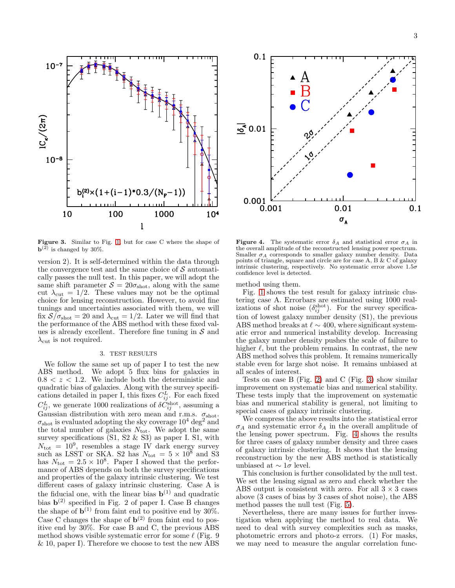$10^{-7}$  $10^{-8}$  $b^{(2)}(1+(i-1)*0.3/(N_{\rm F}-1))$ 10 100 1000  $10<sup>4</sup>$ ľ

<span id="page-2-0"></span>Figure 3. Similar to Fig. [1,](#page-1-0) but for case C where the shape of  $\mathbf{b}^{(2)}$  is changed by 30%.

version 2). It is self-determined within the data through the convergence test and the same choice of  $\mathcal S$  automatically passes the null test. In this paper, we will adopt the same shift parameter  $S = 20\sigma<sub>shot</sub>$ , along with the same cut  $\lambda_{\text{cut}} = 1/2$ . These values may not be the optimal choice for lensing reconstruction. However, to avoid fine tunings and uncertainties associated with them, we will fix  $S/\sigma_{\text{shot}} = 20$  and  $\lambda_{\text{cut}} = 1/2$ . Later we will find that the performance of the ABS method with these fixed values is already excellent. Therefore fine tuning in  $S$  and  $\lambda_{\text{cut}}$  is not required.

## 3. TEST RESULTS

We follow the same set up of paper I to test the new ABS method. We adopt 5 flux bins for galaxies in  $0.8 < z < 1.2$ . We include both the deterministic and quadratic bias of galaxies. Along with the survey specifications detailed in paper I, this fixes  $C_{ij}^L$ . For each fixed  $C_{ij}^L$ , we generate 1000 realizations of  $\delta C_{ij}^{\text{shot}}$ , assuming a Gaussian distribution with zero mean and r.m.s.  $\sigma_{shot}$ .  $\sigma_{\text{shot}}$  is evaluated adopting the sky coverage  $10^4$  deg<sup>2</sup> and the total number of galaxies  $N_{\text{tot}}$ . We adopt the same survey specifications (S1, S2 & S3) as paper I. S1, with  $N_{\text{tot}} = 10^9$ , resembles a stage IV dark energy survey such as LSST or SKA. S2 has  $N_{\text{tot}} = 5 \times 10^8$  and S3 has  $N_{\text{tot}} = 2.5 \times 10^8$ . Paper I showed that the performance of ABS depends on both the survey specifications and properties of the galaxy intrinsic clustering. We test different cases of galaxy intrinsic clustering. Case A is the fiducial one, with the linear bias  $\mathbf{b}^{(1)}$  and quadratic bias  $\mathbf{b}^{(2)}$  specified in Fig. 2 of paper I. Case B changes the shape of  $\mathbf{b}^{(1)}$  from faint end to positive end by 30%. Case C changes the shape of  $\mathbf{b}^{(2)}$  from faint end to positive end by 30%. For case B and C, the previous ABS method shows visible systematic error for some  $\ell$  (Fig. 9) & 10, paper I). Therefore we choose to test the new ABS



<span id="page-2-1"></span>**Figure 4.** The systematic error  $\delta_A$  and statistical error  $\sigma_A$  in the overall amplitude of the reconstructed lensing power spectrum. Smaller  $\sigma_A$  corresponds to smaller galaxy number density. Data points of triangle, square and circle are for case A, B & C of galaxy intrinsic clustering, respectively. No systematic error above  $1.5\sigma$ confidence level is detected.

method using them.

Fig. [1](#page-1-0) shows the test result for galaxy intrinsic clustering case A. Errorbars are estimated using 1000 realizations of shot noise  $(\delta_{ij}^{\text{shot}})$ . For the survey specification of lowest galaxy number density (S1), the previous ABS method breaks at  $\ell \sim 400$ , where significant systematic error and numerical instability develop. Increasing the galaxy number density pushes the scale of failure to higher  $\ell$ , but the problem remains. In contrast, the new ABS method solves this problem. It remains numerically stable even for large shot noise. It remains unbiased at all scales of interest.

Tests on case B (Fig. [2\)](#page-1-2) and C (Fig. [3\)](#page-2-0) show similar improvement on systematic bias and numerical stability. These tests imply that the improvement on systematic bias and numerical stability is general, not limiting to special cases of galaxy intrinsic clustering.

We compress the above results into the statistical error  $\sigma_A$  and systematic error  $\delta_A$  in the overall amplitude of the lensing power spectrum. Fig. [4](#page-2-1) shows the results for three cases of galaxy number density and three cases of galaxy intrinsic clustering. It shows that the lensing reconstruction by the new ABS method is statistically unbiased at  $\sim 1\sigma$  level.

This conclusion is further consolidated by the null test. We set the lensing signal as zero and check whether the ABS output is consistent with zero. For all  $3 \times 3$  cases above (3 cases of bias by 3 cases of shot noise), the ABS method passes the null test (Fig. [5\)](#page-3-7).

Nevertheless, there are many issues for further investigation when applying the method to real data. We need to deal with survey complexities such as masks, photometric errors and photo-z errors. (1) For masks, we may need to measure the angular correlation func-